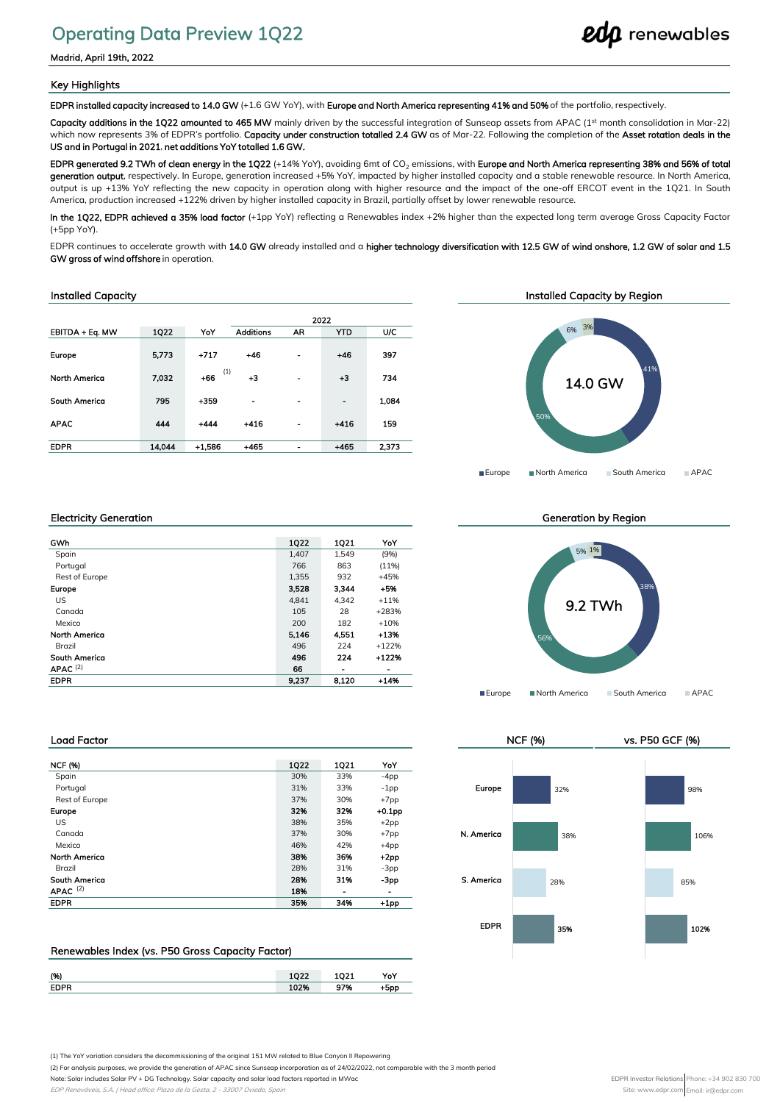# Operating Data Preview 1Q22

Madrid, April 19th, 2022

## Key Highlights

EDPR installed capacity increased to 14.0 GW (+1.6 GW YoY), with Europe and North America representing 41% and 50% of the portfolio, respectively.

Capacity additions in the 1Q22 amounted to 465 MW mainly driven by the successful integration of Sunseap assets from APAC (1st month consolidation in Mar-22) which now represents 3% of EDPR's portfolio. Capacity under construction totalled 2.4 GW as of Mar-22. Following the completion of the Asset rotation deals in the US and in Portugal in 2021, net additions YoY totalled 1.6 GW.

EDPR generated 9.2 TWh of clean energy in the 1Q22 (+14% YoY), avoiding 6mt of CO<sub>2</sub> emissions, with Europe and North America representing 38% and 56% of total generation output, respectively. In Europe, generation increased +5% YoY, impacted by higher installed capacity and a stable renewable resource. In North America, output is up +13% YoY reflecting the new capacity in operation along with higher resource and the impact of the one-off ERCOT event in the 1Q21. In South America, production increased +122% driven by higher installed capacity in Brazil, partially offset by lower renewable resource.

In the 1Q22, EDPR achieved a 35% load factor (+1pp YoY) reflecting a Renewables index +2% higher than the expected long term average Gross Capacity Factor (+5pp YoY).

EDPR continues to accelerate growth with 14.0 GW already installed and a higher technology diversification with 12.5 GW of wind onshore, 1.2 GW of solar and 1.5 GW gross of wind offshore in operation.

## Installed Capacity

|                      |        |              |                  |                              | 2022           |       |
|----------------------|--------|--------------|------------------|------------------------------|----------------|-------|
| EBITDA + Eq. MW      | 1022   | YoY          | <b>Additions</b> | AR                           | <b>YTD</b>     | U/C   |
| <b>Europe</b>        | 5.773  | $+717$       | $+46$            | -                            | $+46$          | 397   |
| <b>North America</b> | 7.032  | (1)<br>$+66$ | $+3$             | $\blacksquare$               | $+3$           | 734   |
| South America        | 795    | $+359$       | $\blacksquare$   | $\blacksquare$               | $\blacksquare$ | 1.084 |
| <b>APAC</b>          | 444    | $+444$       | $-416$           | $\overline{\phantom{0}}$     | $+416$         | 159   |
| <b>EDPR</b>          | 14.044 | $+1.586$     | $+465$           | $\qquad \qquad \blacksquare$ | $+465$         | 2.373 |



## Electricity Generation

| GWh                  | 1022  | 1021                     | YoY      |
|----------------------|-------|--------------------------|----------|
| Spain                | 1.407 | 1.549                    | (9%)     |
| Portugal             | 766   | 863                      | $(11\%)$ |
| Rest of Europe       | 1,355 | 932                      | $+45%$   |
| <b>Europe</b>        | 3.528 | 3.344                    | $+5%$    |
| US.                  | 4.841 | 4.342                    | $+11%$   |
| Canada               | 105   | 28                       | $+283%$  |
| Mexico               | 200   | 182                      | $+10%$   |
| <b>North America</b> | 5.146 | 4,551                    | $+13%$   |
| Brazil               | 496   | 224                      | $+122%$  |
| South America        | 496   | 224                      | $+122%$  |
| $APAC$ (2)           | 66    | $\overline{\phantom{0}}$ | -        |
| <b>EDPR</b>          | 9.237 | 8.120                    | $+14%$   |

Generation by Region



NCF (%) vs. P50 GCF (%)

EDPR

35%

28%

38%

32%

## Load Factor

| <b>NCF (%)</b>       | 1022 | 1021 | YoY      |            |
|----------------------|------|------|----------|------------|
| Spain                | 30%  | 33%  | $-4pp$   |            |
| Portugal             | 31%  | 33%  | $-1$ pp  | Europe     |
| Rest of Europe       | 37%  | 30%  | $+7$ pp  |            |
| Europe               | 32%  | 32%  | $+0.1pp$ |            |
| US.                  | 38%  | 35%  | $+2pp$   |            |
| Canada               | 37%  | 30%  | $+7$ pp  | N. Americo |
| Mexico               | 46%  | 42%  | $+4pp$   |            |
| <b>North America</b> | 38%  | 36%  | $+2pp$   |            |
| Brazil               | 28%  | 31%  | $-3pp$   |            |
| <b>South America</b> | 28%  | 31%  | -3pp     | S. Americo |
| APAC $(2)$           | 18%  | ٠    | -        |            |
| <b>EDPR</b>          | 35%  | 34%  | $+1$ pp  |            |

## Renewables Index (vs. P50 Gross Capacity Factor)

| (96)        |        | . . | YoY |
|-------------|--------|-----|-----|
| <b>EDPR</b> | TAT TO | 704 | inr |

(1) The YoY variation considers the decommissioning of the original 151 MW related to Blue Canyon II Repowering

(2) For analysis purposes, we provide the generation of APAC since Sunseap incorporation as of 24/02/2022, not comparable with the 3 month period

Note: Solar includes Solar PV + DG Technology. Solar capacity and solar load factors reported in MWac

102%

106%

98%

85%